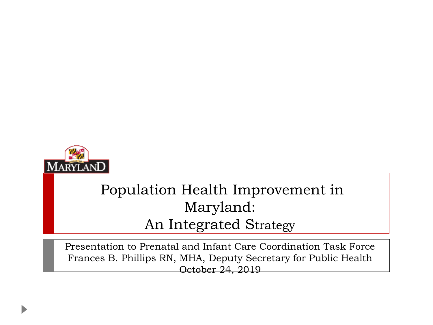

#### Population Health Improvement in Maryland: An Integrated Strategy

Presentation to Prenatal and Infant Care Coordination Task Force Frances B. Phillips RN, MHA, Deputy Secretary for Public Health October 24, 2019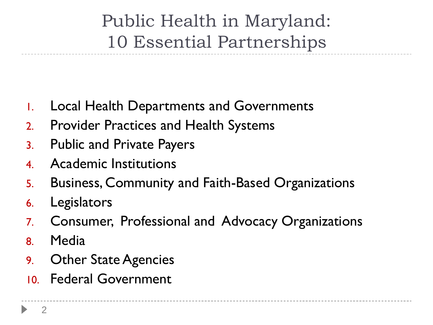Public Health in Maryland: 10 Essential Partnerships

- 1. Local Health Departments and Governments
- 2. Provider Practices and Health Systems
- 3. Public and Private Payers
- 4. Academic Institutions
- 5. Business, Community and Faith-Based Organizations
- 6. Legislators
- 7. Consumer, Professional and Advocacy Organizations
- 8. Media
- 9. Other State Agencies
- 10. Federal Government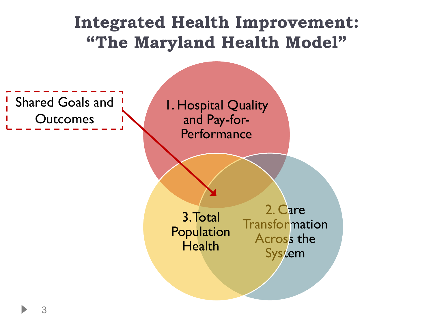## **Integrated Health Improvement: "The Maryland Health Model"** 1. Hospital Quality and Pay-for-**Performance** 2. Care **Transformation** Across the **System** 3. Total Population **Health** Shared Goals and **Outcomes**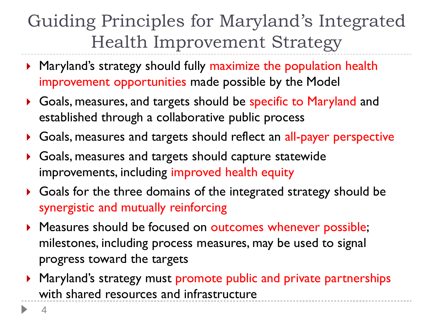## Guiding Principles for Maryland's Integrated Health Improvement Strategy

- **Maryland's strategy should fully maximize the population health** improvement opportunities made possible by the Model
- Goals, measures, and targets should be specific to Maryland and established through a collaborative public process
- Goals, measures and targets should reflect an all-payer perspective
- Goals, measures and targets should capture statewide improvements, including improved health equity
- Goals for the three domains of the integrated strategy should be synergistic and mutually reinforcing
- **Measures should be focused on outcomes whenever possible;** milestones, including process measures, may be used to signal progress toward the targets
- ▶ Maryland's strategy must promote public and private partnerships with shared resources and infrastructure

4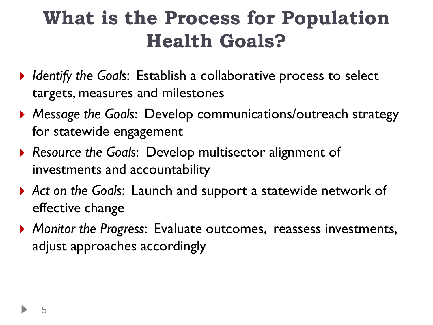# **What is the Process for Population Health Goals?**

- *Identify the Goals*: Establish a collaborative process to select targets, measures and milestones
- *Message the Goals*: Develop communications/outreach strategy for statewide engagement
- *Resource the Goals*: Develop multisector alignment of investments and accountability
- *Act on the Goals*: Launch and support a statewide network of effective change
- *Monitor the Progress*: Evaluate outcomes, reassess investments, adjust approaches accordingly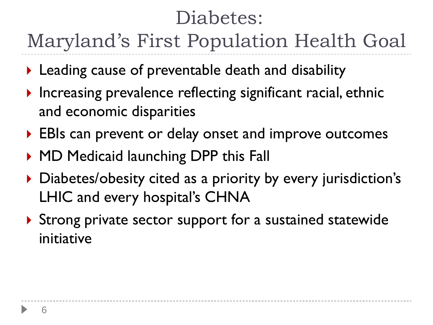# Diabetes:

Maryland's First Population Health Goal

- ▶ Leading cause of preventable death and disability
- $\triangleright$  Increasing prevalence reflecting significant racial, ethnic and economic disparities
- ▶ EBIs can prevent or delay onset and improve outcomes
- ▶ MD Medicaid launching DPP this Fall
- ▶ Diabetes/obesity cited as a priority by every jurisdiction's LHIC and every hospital's CHNA
- ▶ Strong private sector support for a sustained statewide initiative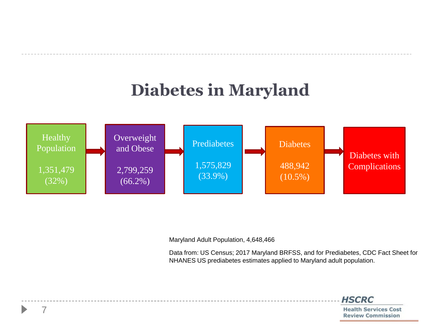### **Diabetes in Maryland**



Maryland Adult Population, 4,648,466

Data from: US Census; 2017 Maryland BRFSS, and for Prediabetes, CDC Fact Sheet for NHANES US prediabetes estimates applied to Maryland adult population.

**HSCRC** 

**Health Services Cost Review Commission**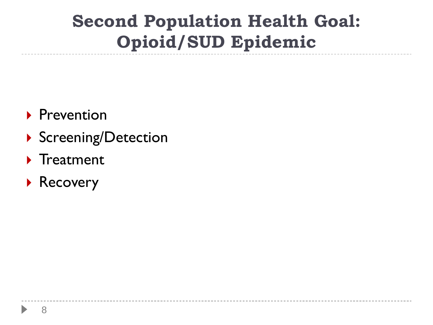### **Second Population Health Goal: Opioid/SUD Epidemic**

- **Prevention**
- Screening/Detection
- $\blacktriangleright$  Treatment
- ▶ Recovery